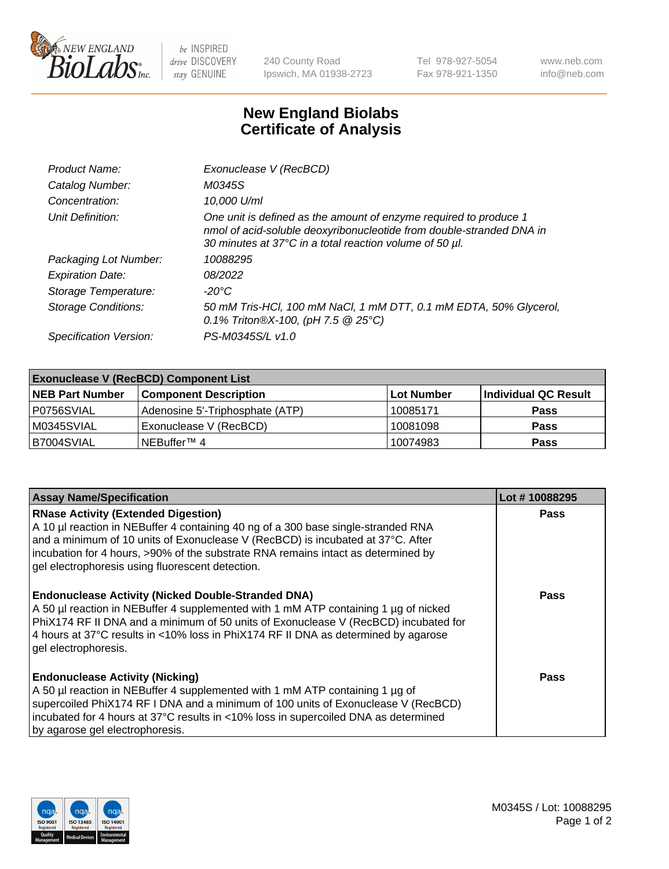

be INSPIRED drive DISCOVERY stay GENUINE

240 County Road Ipswich, MA 01938-2723 Tel 978-927-5054 Fax 978-921-1350 www.neb.com info@neb.com

## **New England Biolabs Certificate of Analysis**

| Product Name:              | Exonuclease V (RecBCD)                                                                                                                                                                               |
|----------------------------|------------------------------------------------------------------------------------------------------------------------------------------------------------------------------------------------------|
| Catalog Number:            | M0345S                                                                                                                                                                                               |
| Concentration:             | 10,000 U/ml                                                                                                                                                                                          |
| Unit Definition:           | One unit is defined as the amount of enzyme required to produce 1<br>nmol of acid-soluble deoxyribonucleotide from double-stranded DNA in<br>30 minutes at 37°C in a total reaction volume of 50 µl. |
| Packaging Lot Number:      | 10088295                                                                                                                                                                                             |
| <b>Expiration Date:</b>    | 08/2022                                                                                                                                                                                              |
| Storage Temperature:       | $-20^{\circ}$ C                                                                                                                                                                                      |
| <b>Storage Conditions:</b> | 50 mM Tris-HCl, 100 mM NaCl, 1 mM DTT, 0.1 mM EDTA, 50% Glycerol,<br>0.1% Triton®X-100, (pH 7.5 $@25°C$ )                                                                                            |
| Specification Version:     | PS-M0345S/L v1.0                                                                                                                                                                                     |

| <b>Exonuclease V (RecBCD) Component List</b> |                                 |                   |                      |  |
|----------------------------------------------|---------------------------------|-------------------|----------------------|--|
| <b>NEB Part Number</b>                       | <b>Component Description</b>    | <b>Lot Number</b> | Individual QC Result |  |
| P0756SVIAL                                   | Adenosine 5'-Triphosphate (ATP) | 10085171          | <b>Pass</b>          |  |
| M0345SVIAL                                   | Exonuclease V (RecBCD)          | 10081098          | <b>Pass</b>          |  |
| B7004SVIAL                                   | INEBuffer™ 4                    | 10074983          | <b>Pass</b>          |  |

| <b>Assay Name/Specification</b>                                                                                                                                                                                                                                                                                                                             | Lot #10088295 |
|-------------------------------------------------------------------------------------------------------------------------------------------------------------------------------------------------------------------------------------------------------------------------------------------------------------------------------------------------------------|---------------|
| <b>RNase Activity (Extended Digestion)</b><br>A 10 µl reaction in NEBuffer 4 containing 40 ng of a 300 base single-stranded RNA<br>and a minimum of 10 units of Exonuclease V (RecBCD) is incubated at 37°C. After<br>incubation for 4 hours, >90% of the substrate RNA remains intact as determined by<br>gel electrophoresis using fluorescent detection. | <b>Pass</b>   |
| <b>Endonuclease Activity (Nicked Double-Stranded DNA)</b><br>A 50 µl reaction in NEBuffer 4 supplemented with 1 mM ATP containing 1 µg of nicked<br>PhiX174 RF II DNA and a minimum of 50 units of Exonuclease V (RecBCD) incubated for<br>4 hours at 37°C results in <10% loss in PhiX174 RF II DNA as determined by agarose<br>gel electrophoresis.       | <b>Pass</b>   |
| <b>Endonuclease Activity (Nicking)</b><br>A 50 µl reaction in NEBuffer 4 supplemented with 1 mM ATP containing 1 µg of<br>supercoiled PhiX174 RF I DNA and a minimum of 100 units of Exonuclease V (RecBCD)<br>incubated for 4 hours at 37°C results in <10% loss in supercoiled DNA as determined<br>by agarose gel electrophoresis.                       | Pass          |